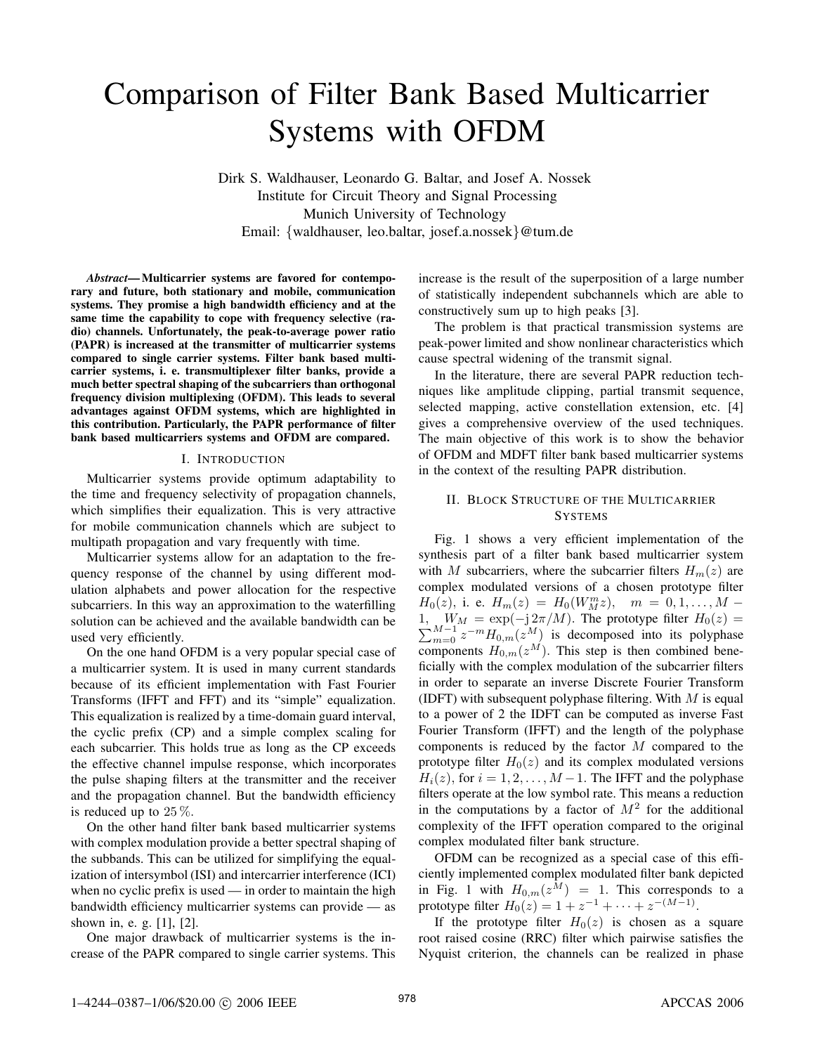# Comparison of Filter Bank Based Multicarrier Systems with OFDM

Dirk S. Waldhauser, Leonardo G. Baltar, and Josef A. Nossek Institute for Circuit Theory and Signal Processing Munich University of Technology Email: *{*waldhauser, leo.baltar, josef.a.nossek*}*@tum.de

*Abstract***— Multicarrier systems are favored for contemporary and future, both stationary and mobile, communication systems. They promise a high bandwidth efficiency and at the same time the capability to cope with frequency selective (radio) channels. Unfortunately, the peak-to-average power ratio (PAPR) is increased at the transmitter of multicarrier systems compared to single carrier systems. Filter bank based multicarrier systems, i. e. transmultiplexer filter banks, provide a much better spectral shaping of the subcarriers than orthogonal frequency division multiplexing (OFDM). This leads to several advantages against OFDM systems, which are highlighted in this contribution. Particularly, the PAPR performance of filter bank based multicarriers systems and OFDM are compared.**

#### I. INTRODUCTION

Multicarrier systems provide optimum adaptability to the time and frequency selectivity of propagation channels, which simplifies their equalization. This is very attractive for mobile communication channels which are subject to multipath propagation and vary frequently with time.

Multicarrier systems allow for an adaptation to the frequency response of the channel by using different modulation alphabets and power allocation for the respective subcarriers. In this way an approximation to the waterfilling solution can be achieved and the available bandwidth can be used very efficiently.

On the one hand OFDM is a very popular special case of a multicarrier system. It is used in many current standards because of its efficient implementation with Fast Fourier Transforms (IFFT and FFT) and its "simple" equalization. This equalization is realized by a time-domain guard interval, the cyclic prefix (CP) and a simple complex scaling for each subcarrier. This holds true as long as the CP exceeds the effective channel impulse response, which incorporates the pulse shaping filters at the transmitter and the receiver and the propagation channel. But the bandwidth efficiency is reduced up to 25 %*.*

On the other hand filter bank based multicarrier systems with complex modulation provide a better spectral shaping of the subbands. This can be utilized for simplifying the equalization of intersymbol (ISI) and intercarrier interference (ICI) when no cyclic prefix is used — in order to maintain the high bandwidth efficiency multicarrier systems can provide — as shown in, e. g. [1], [2].

One major drawback of multicarrier systems is the increase of the PAPR compared to single carrier systems. This increase is the result of the superposition of a large number of statistically independent subchannels which are able to constructively sum up to high peaks [3].

The problem is that practical transmission systems are peak-power limited and show nonlinear characteristics which cause spectral widening of the transmit signal.

In the literature, there are several PAPR reduction techniques like amplitude clipping, partial transmit sequence, selected mapping, active constellation extension, etc. [4] gives a comprehensive overview of the used techniques. The main objective of this work is to show the behavior of OFDM and MDFT filter bank based multicarrier systems in the context of the resulting PAPR distribution.

## II. BLOCK STRUCTURE OF THE MULTICARRIER **SYSTEMS**

Fig. 1 shows a very efficient implementation of the synthesis part of a filter bank based multicarrier system with *M* subcarriers, where the subcarrier filters  $H_m(z)$  are complex modulated versions of a chosen prototype filter  $H_0(z)$ , i. e.  $H_m(z) = H_0(W_M^m z)$ ,  $m = 0, 1, \ldots, M - 1$ 1 *i*,  $W_M = \exp(-j 2π/M)$ . The prototype filter *H*<sub>0</sub>(*z*) =  $\sum_{m=0}^{M-1} z^{-m} H_{0,m}(z^M)$  is decomposed into its polyphase components  $H_{0,m}(z^M)$ . This step is then combined beneficially with the complex modulation of the subcarrier filters in order to separate an inverse Discrete Fourier Transform (IDFT) with subsequent polyphase filtering. With *M* is equal to a power of 2 the IDFT can be computed as inverse Fast Fourier Transform (IFFT) and the length of the polyphase components is reduced by the factor *M* compared to the prototype filter  $H_0(z)$  and its complex modulated versions  $H_i(z)$ , for  $i = 1, 2, \ldots, M-1$ . The IFFT and the polyphase filters operate at the low symbol rate. This means a reduction in the computations by a factor of  $M<sup>2</sup>$  for the additional complexity of the IFFT operation compared to the original complex modulated filter bank structure.

OFDM can be recognized as a special case of this efficiently implemented complex modulated filter bank depicted in Fig. 1 with  $H_{0,m}(z^M) = 1$ . This corresponds to a prototype filter  $H_0(z) = 1 + z^{-1} + \cdots + z^{-(M-1)}$ .

If the prototype filter  $H_0(z)$  is chosen as a square root raised cosine (RRC) filter which pairwise satisfies the Nyquist criterion, the channels can be realized in phase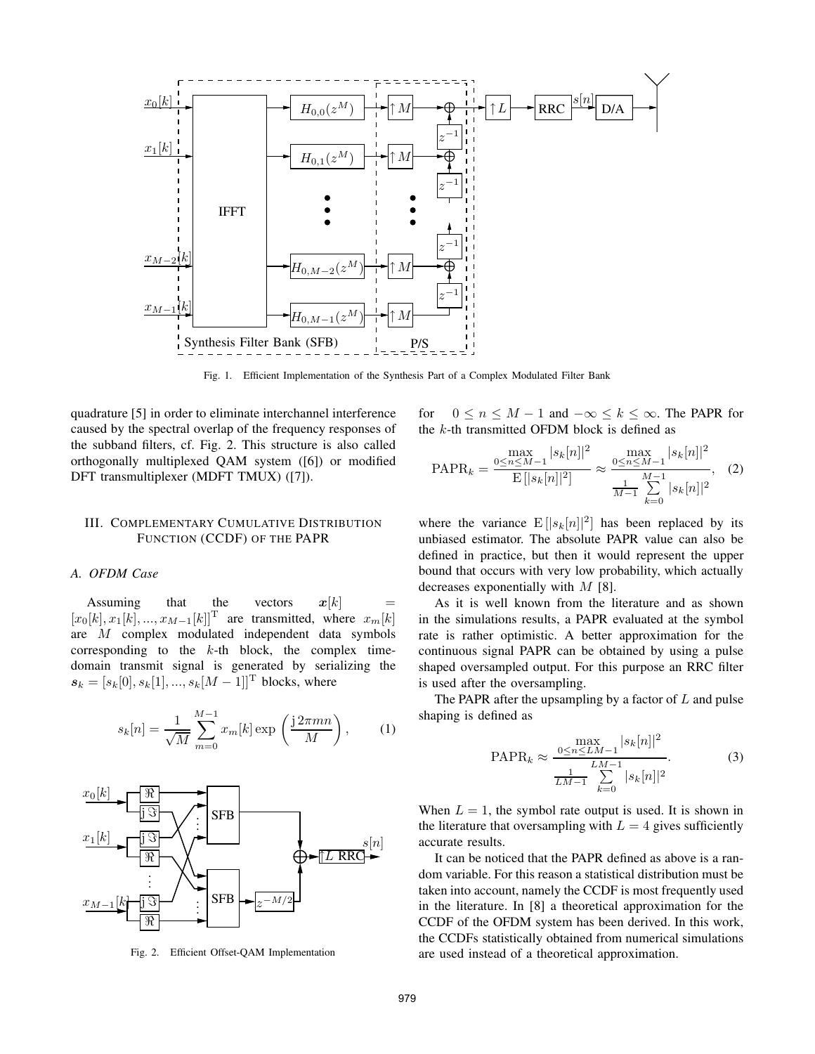

Fig. 1. Efficient Implementation of the Synthesis Part of a Complex Modulated Filter Bank

quadrature [5] in order to eliminate interchannel interference caused by the spectral overlap of the frequency responses of the subband filters, cf. Fig. 2. This structure is also called orthogonally multiplexed QAM system ([6]) or modified DFT transmultiplexer (MDFT TMUX) ([7]).

## III. COMPLEMENTARY CUMULATIVE DISTRIBUTION FUNCTION (CCDF) OF THE PAPR

### *A. OFDM Case*

Assuming that the vectors  $x[k]$  $[x_0[k], x_1[k], ..., x_{M-1}[k]]^T$  are transmitted, where  $x_m[k]$ are *M* complex modulated independent data symbols corresponding to the *k*-th block, the complex timedomain transmit signal is generated by serializing the  $s_k = [s_k[0], s_k[1], ..., s_k[M-1]]$ <sup>T</sup> blocks, where

$$
s_k[n] = \frac{1}{\sqrt{M}} \sum_{m=0}^{M-1} x_m[k] \exp\left(\frac{j2\pi mn}{M}\right),
$$
 (1)



Fig. 2. Efficient Offset-QAM Implementation

for  $0 \le n \le M - 1$  and  $-\infty \le k \le \infty$ . The PAPR for the *k*-th transmitted OFDM block is defined as

$$
\text{PAPR}_k = \frac{\max\limits_{0 \le n \le M-1} |s_k[n]|^2}{\text{E}\left[|s_k[n]|^2\right]} \approx \frac{\max\limits_{0 \le n \le M-1} |s_k[n]|^2}{\frac{M-1}{M-1} \sum\limits_{k=0}^{M-1} |s_k[n]|^2}, \quad (2)
$$

where the variance  $E[|s_k[n]|^2]$  has been replaced by its unbiased estimator. The absolute PAPR value can also be defined in practice, but then it would represent the upper bound that occurs with very low probability, which actually decreases exponentially with *M* [8].

As it is well known from the literature and as shown in the simulations results, a PAPR evaluated at the symbol rate is rather optimistic. A better approximation for the continuous signal PAPR can be obtained by using a pulse shaped oversampled output. For this purpose an RRC filter is used after the oversampling.

The PAPR after the upsampling by a factor of *L* and pulse shaping is defined as

$$
\text{PAPR}_k \approx \frac{\max\limits_{0 \le n \le LM-1} |s_k[n]|^2}{\frac{1}{LM-1} \sum\limits_{k=0}^{LM-1} |s_k[n]|^2}.\tag{3}
$$

When  $L = 1$ , the symbol rate output is used. It is shown in the literature that oversampling with  $L = 4$  gives sufficiently accurate results.

It can be noticed that the PAPR defined as above is a random variable. For this reason a statistical distribution must be taken into account, namely the CCDF is most frequently used in the literature. In [8] a theoretical approximation for the CCDF of the OFDM system has been derived. In this work, the CCDFs statistically obtained from numerical simulations are used instead of a theoretical approximation.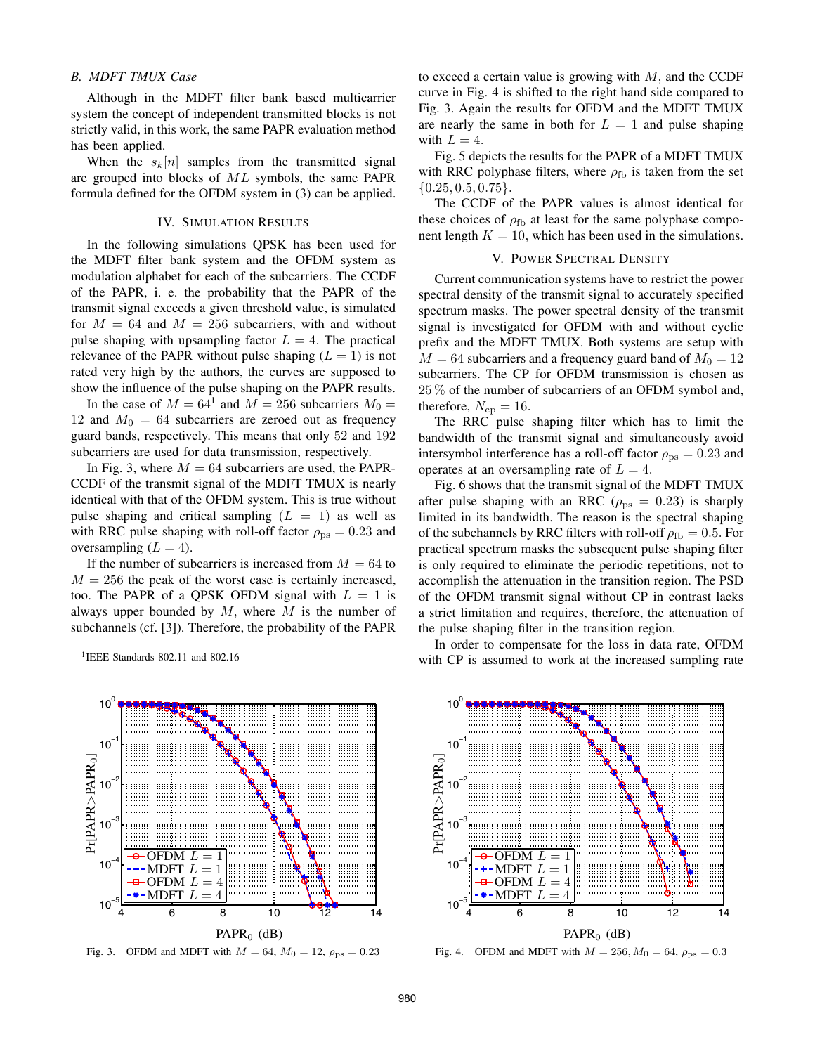#### *B. MDFT TMUX Case*

Although in the MDFT filter bank based multicarrier system the concept of independent transmitted blocks is not strictly valid, in this work, the same PAPR evaluation method has been applied.

When the  $s_k[n]$  samples from the transmitted signal are grouped into blocks of *ML* symbols, the same PAPR formula defined for the OFDM system in (3) can be applied.

### IV. SIMULATION RESULTS

In the following simulations QPSK has been used for the MDFT filter bank system and the OFDM system as modulation alphabet for each of the subcarriers. The CCDF of the PAPR, i. e. the probability that the PAPR of the transmit signal exceeds a given threshold value, is simulated for  $M = 64$  and  $M = 256$  subcarriers, with and without pulse shaping with upsampling factor  $L = 4$ . The practical relevance of the PAPR without pulse shaping  $(L = 1)$  is not rated very high by the authors, the curves are supposed to show the influence of the pulse shaping on the PAPR results.

In the case of  $M = 64^1$  and  $M = 256$  subcarriers  $M_0 =$ 12 and  $M_0 = 64$  subcarriers are zeroed out as frequency guard bands, respectively. This means that only 52 and 192 subcarriers are used for data transmission, respectively.

In Fig. 3, where  $M = 64$  subcarriers are used, the PAPR-CCDF of the transmit signal of the MDFT TMUX is nearly identical with that of the OFDM system. This is true without pulse shaping and critical sampling  $(L = 1)$  as well as with RRC pulse shaping with roll-off factor  $\rho_{\rm ps} = 0.23$  and oversampling  $(L = 4)$ .

If the number of subcarriers is increased from  $M = 64$  to  $M = 256$  the peak of the worst case is certainly increased, too. The PAPR of a QPSK OFDM signal with  $L = 1$  is always upper bounded by *M,* where *M* is the number of subchannels (cf. [3]). Therefore, the probability of the PAPR

<sup>1</sup>IEEE Standards 802.11 and 802.16

to exceed a certain value is growing with *M,* and the CCDF curve in Fig. 4 is shifted to the right hand side compared to Fig. 3. Again the results for OFDM and the MDFT TMUX are nearly the same in both for  $L = 1$  and pulse shaping with  $L = 4$ .

Fig. 5 depicts the results for the PAPR of a MDFT TMUX with RRC polyphase filters, where  $\rho_{\text{fb}}$  is taken from the set *{*0*.*25*,* <sup>0</sup>*.*5*,* <sup>0</sup>*.*75*}.*

The CCDF of the PAPR values is almost identical for these choices of  $\rho_{\text{fb}}$  at least for the same polyphase component length  $K = 10$ , which has been used in the simulations.

#### V. POWER SPECTRAL DENSITY

Current communication systems have to restrict the power spectral density of the transmit signal to accurately specified spectrum masks. The power spectral density of the transmit signal is investigated for OFDM with and without cyclic prefix and the MDFT TMUX. Both systems are setup with  $M = 64$  subcarriers and a frequency guard band of  $M_0 = 12$ subcarriers. The CP for OFDM transmission is chosen as 25 % of the number of subcarriers of an OFDM symbol and, therefore,  $N_{\rm cp} = 16$ .

The RRC pulse shaping filter which has to limit the bandwidth of the transmit signal and simultaneously avoid intersymbol interference has a roll-off factor  $\rho_{\rm ps} = 0.23$  and operates at an oversampling rate of  $L = 4$ .

Fig. 6 shows that the transmit signal of the MDFT TMUX after pulse shaping with an RRC ( $\rho_{\text{ps}} = 0.23$ ) is sharply limited in its bandwidth. The reason is the spectral shaping of the subchannels by RRC filters with roll-off  $\rho_{\text{fb}} = 0.5$ . For practical spectrum masks the subsequent pulse shaping filter is only required to eliminate the periodic repetitions, not to accomplish the attenuation in the transition region. The PSD of the OFDM transmit signal without CP in contrast lacks a strict limitation and requires, therefore, the attenuation of the pulse shaping filter in the transition region.

In order to compensate for the loss in data rate, OFDM with CP is assumed to work at the increased sampling rate



Fig. 3. OFDM and MDFT with  $M = 64$ ,  $M_0 = 12$ ,  $\rho_{ps} = 0.23$ 



Fig. 4. OFDM and MDFT with  $M = 256$ ,  $M_0 = 64$ ,  $\rho_{\text{ps}} = 0.3$